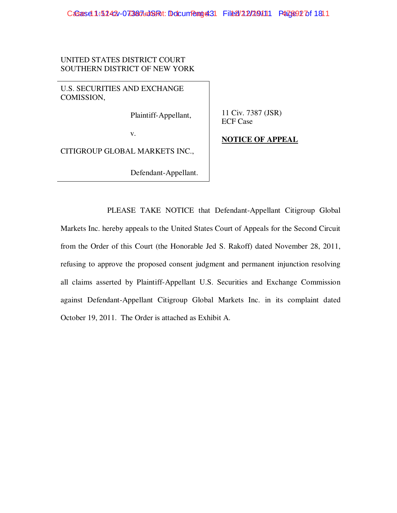UNITED STATES DISTRICT COURT SOUTHERN DISTRICT OF NEW YORK

U.S. SECURITIES AND EXCHANGE COMISSION,

Plaintiff-Appellant,

11 Civ. 7387 (JSR) ECF Case

v.

CITIGROUP GLOBAL MARKETS INC.,

Defendant-Appellant.

**NOTICE OF APPEAL**

PLEASE TAKE NOTICE that Defendant-Appellant Citigroup Global Markets Inc. hereby appeals to the United States Court of Appeals for the Second Circuit from the Order of this Court (the Honorable Jed S. Rakoff) dated November 28, 2011, refusing to approve the proposed consent judgment and permanent injunction resolving all claims asserted by Plaintiff-Appellant U.S. Securities and Exchange Commission against Defendant-Appellant Citigroup Global Markets Inc. in its complaint dated October 19, 2011. The Order is attached as Exhibit A.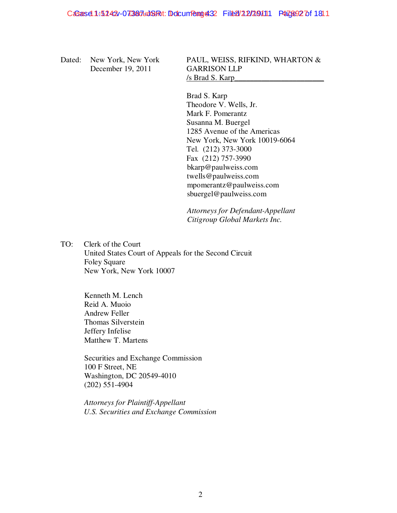Dated: New York, New York December 19, 2011

PAUL, WEISS, RIFKIND, WHARTON & GARRISON LLP /s Brad S. Karp\_\_\_\_\_\_\_\_\_\_\_\_\_\_\_\_\_\_\_\_\_\_\_

Brad S. Karp Theodore V. Wells, Jr. Mark F. Pomerantz Susanna M. Buergel 1285 Avenue of the Americas New York, New York 10019-6064 Tel. (212) 373-3000 Fax (212) 757-3990 bkarp@paulweiss.com twells@paulweiss.com mpomerantz@paulweiss.com sbuergel@paulweiss.com

*Attorneys for Defendant-Appellant Citigroup Global Markets Inc.*

TO: Clerk of the Court United States Court of Appeals for the Second Circuit Foley Square New York, New York 10007

> Kenneth M. Lench Reid A. Muoio Andrew Feller Thomas Silverstein Jeffery Infelise Matthew T. Martens

Securities and Exchange Commission 100 F Street, NE Washington, DC 20549-4010 (202) 551-4904

*Attorneys for Plaintiff-Appellant U.S. Securities and Exchange Commission*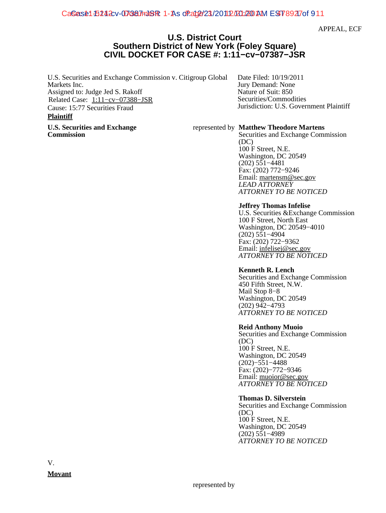CaSe: 15242 v-073827mJSR: 1-As of 2d02/23/2011 2/2012 200 AM EST 8927 of 911

APPEAL, ECF

# **U.S. District Court Southern District of New York (Foley Square) CIVIL DOCKET FOR CASE #: 1:11−cv−07387−JSR**

U.S. Securities and Exchange Commission v. Citigroup Global Markets Inc. Assigned to: Judge Jed S. Rakoff Related Case: [1:11−cv−07388−JSR](https://ecf.nysd.uscourts.gov/cgi-bin/DktRpt.pl?386252) Cause: 15:77 Securities Fraud

# **Plaintiff**

**U.S. Securities and Exchange Commission**

Date Filed: 10/19/2011 Jury Demand: None Nature of Suit: 850 Securities/Commodities Jurisdiction: U.S. Government Plaintiff

# represented by **Matthew Theodore Martens**

Securities and Exchange Commission (DC) 100 F Street, N.E. Washington, DC 20549 (202) 551−4481 Fax: (202) 772−9246 Email: [martensm@sec.gov](mailto:martensm@sec.gov) *LEAD ATTORNEY ATTORNEY TO BE NOTICED*

#### **Jeffrey Thomas Infelise**

U.S. Securities &Exchange Commission 100 F Street, North East Washington, DC 20549−4010 (202) 551−4904 Fax: (202) 722−9362 Email: [infelisej@sec.gov](mailto:infelisej@sec.gov) *ATTORNEY TO BE NOTICED*

# **Kenneth R. Lench**

Securities and Exchange Commission 450 Fifth Street, N.W. Mail Stop 8−8 Washington, DC 20549 (202) 942−4793 *ATTORNEY TO BE NOTICED*

# **Reid Anthony Muoio**

Securities and Exchange Commission (DC) 100 F Street, N.E. Washington, DC 20549 (202)−551−4488 Fax: (202)−772−9346 Email: [muoior@sec.gov](mailto:muoior@sec.gov) *ATTORNEY TO BE NOTICED*

#### **Thomas D. Silverstein**

Securities and Exchange Commission (DC) 100 F Street, N.E. Washington, DC 20549 (202) 551−4989 *ATTORNEY TO BE NOTICED*

V. **Movant**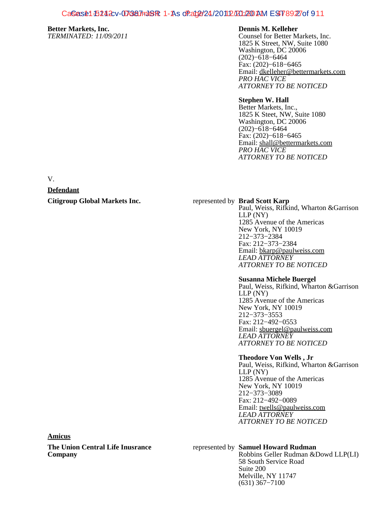# CaSe: 15242 D-07387m19R: 1-As of at 02/24/2011 2/2012 200 AM EST 8922 of 911

# **Better Markets, Inc.**

*TERMINATED: 11/09/2011*

# **Dennis M. Kelleher**

Counsel for Better Markets, Inc. 1825 K Street, NW, Suite 1080 Washington, DC 20006 (202)−618−6464 Fax: (202)−618−6465 Email: [dkelleher@bettermarkets.com](mailto:dkelleher@bettermarkets.com) *PRO HAC VICE ATTORNEY TO BE NOTICED*

# **Stephen W. Hall**

Better Markets, Inc., 1825 K Steet, NW, Suite 1080 Washington, DC 20006 (202)−618−6464 Fax: (202)−618−6465 Email: [shall@bettermarkets.com](mailto:shall@bettermarkets.com) *PRO HAC VICE ATTORNEY TO BE NOTICED*

V.

# **Defendant**

**Citigroup Global Markets Inc.** The represented by **Brad Scott Karp** 

Paul, Weiss, Rifkind, Wharton &Garrison LLP (NY) 1285 Avenue of the Americas New York, NY 10019 212−373−2384 Fax: 212−373−2384 Email: [bkarp@paulweiss.com](mailto:bkarp@paulweiss.com) *LEAD ATTORNEY ATTORNEY TO BE NOTICED*

#### **Susanna Michele Buergel**

Paul, Weiss, Rifkind, Wharton &Garrison LLP (NY) 1285 Avenue of the Americas New York, NY 10019 212−373−3553 Fax: 212−492−0553 Email: [sbuergel@paulweiss.com](mailto:sbuergel@paulweiss.com) *LEAD ATTORNEY ATTORNEY TO BE NOTICED*

#### **Theodore Von Wells , Jr**

Paul, Weiss, Rifkind, Wharton &Garrison LLP (NY) 1285 Avenue of the Americas New York, NY 10019 212−373−3089 Fax: 212−492−0089 Email: [twells@paulweiss.com](mailto:twells@paulweiss.com) *LEAD ATTORNEY ATTORNEY TO BE NOTICED*

#### **Amicus**

**The Union Central Life Inusrance Company**

# represented by **Samuel Howard Rudman**

Robbins Geller Rudman &Dowd LLP(LI) 58 South Service Road Suite 200 Melville, NY 11747 (631) 367−7100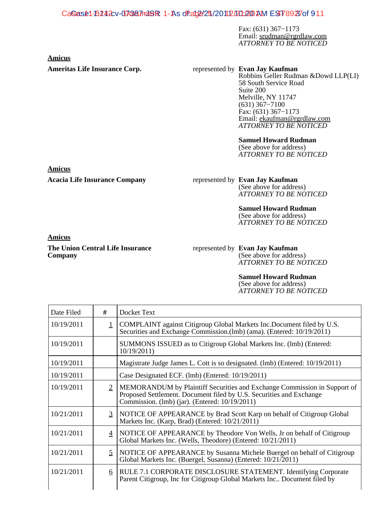# CaSe: 15242 D-07387m19R: 1-As of Ag2/25/2011 2/2012 20 AM EST 8923 of 911

Fax: (631) 367−1173 Email: [srudman@rgrdlaw.com](mailto:srudman@rgrdlaw.com) *ATTORNEY TO BE NOTICED*

**Amicus**

# Ameritas Life Insurance Corp. The represented by Evan Jay Kaufman

Robbins Geller Rudman &Dowd LLP(LI) 58 South Service Road Suite 200 Melville, NY 11747 (631) 367−7100 Fax: (631) 367−1173 Email: [ekaufman@rgrdlaw.com](mailto:ekaufman@rgrdlaw.com) *ATTORNEY TO BE NOTICED*

# **Samuel Howard Rudman**

(See above for address) *ATTORNEY TO BE NOTICED*

**Acacia Life Insurance Company** represented by **Evan Jay Kaufman** (See above for address) *ATTORNEY TO BE NOTICED*

# **Samuel Howard Rudman**

(See above for address) *ATTORNEY TO BE NOTICED*

# **Amicus**

**The Union Central Life Insurance Company**

#### represented by **Evan Jay Kaufman** (See above for address) *ATTORNEY TO BE NOTICED*

# **Samuel Howard Rudman**

(See above for address) *ATTORNEY TO BE NOTICED*

| Date Filed | #              | Docket Text                                                                                                                                                                                       |
|------------|----------------|---------------------------------------------------------------------------------------------------------------------------------------------------------------------------------------------------|
| 10/19/2011 |                | COMPLAINT against Citigroup Global Markets Inc.Document filed by U.S.<br>Securities and Exchange Commission.(lmb) (ama). (Entered: 10/19/2011)                                                    |
| 10/19/2011 |                | SUMMONS ISSUED as to Citigroup Global Markets Inc. (lmb) (Entered:<br>10/19/2011                                                                                                                  |
| 10/19/2011 |                | Magistrate Judge James L. Cott is so designated. (lmb) (Entered: 10/19/2011)                                                                                                                      |
| 10/19/2011 |                | Case Designated ECF. (lmb) (Entered: 10/19/2011)                                                                                                                                                  |
| 10/19/2011 | $\overline{2}$ | MEMORANDUM by Plaintiff Securities and Exchange Commission in Support of<br>Proposed Settlement. Document filed by U.S. Securities and Exchange<br>Commission. (lmb) (jar). (Entered: 10/19/2011) |
| 10/21/2011 | 3              | NOTICE OF APPEARANCE by Brad Scott Karp on behalf of Citigroup Global<br>Markets Inc. (Karp, Brad) (Entered: 10/21/2011)                                                                          |
| 10/21/2011 | 4              | NOTICE OF APPEARANCE by Theodore Von Wells, Jr on behalf of Citigroup<br>Global Markets Inc. (Wells, Theodore) (Entered: 10/21/2011)                                                              |
| 10/21/2011 | 5              | NOTICE OF APPEARANCE by Susanna Michele Buergel on behalf of Citigroup<br>Global Markets Inc. (Buergel, Susanna) (Entered: 10/21/2011)                                                            |
| 10/21/2011 | 6              | RULE 7.1 CORPORATE DISCLOSURE STATEMENT. Identifying Corporate<br>Parent Citigroup, Inc for Citigroup Global Markets Inc Document filed by                                                        |

**Amicus**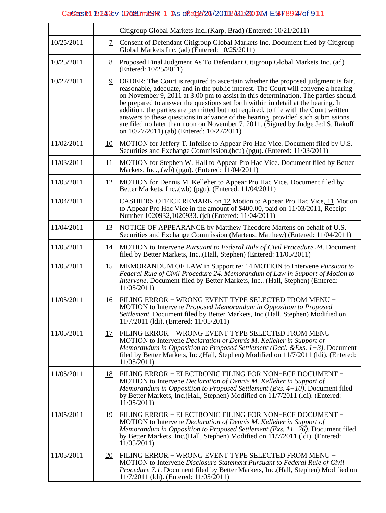# CaSe: 61-5242 D-073827mJSR: 1-As of 2021/2011 2/2012 200 AM EST 8924 of 911

|            |                | Citigroup Global Markets Inc(Karp, Brad) (Entered: 10/21/2011)                                                                                                                                                                                                                                                                                                                                                                                                                                                                                                                                                                                                |
|------------|----------------|---------------------------------------------------------------------------------------------------------------------------------------------------------------------------------------------------------------------------------------------------------------------------------------------------------------------------------------------------------------------------------------------------------------------------------------------------------------------------------------------------------------------------------------------------------------------------------------------------------------------------------------------------------------|
| 10/25/2011 | $\mathcal{I}$  | Consent of Defendant Citigroup Global Markets Inc. Document filed by Citigroup<br>Global Markets Inc. (ad) (Entered: 10/25/2011)                                                                                                                                                                                                                                                                                                                                                                                                                                                                                                                              |
| 10/25/2011 | 8              | Proposed Final Judgment As To Defendant Citigroup Global Markets Inc. (ad)<br>(Entered: 10/25/2011)                                                                                                                                                                                                                                                                                                                                                                                                                                                                                                                                                           |
| 10/27/2011 | $\overline{9}$ | ORDER: The Court is required to ascertain whether the proposed judgment is fair,<br>reasonable, adequate, and in the public interest. The Court will convene a hearing<br>on November 9, 2011 at 3:00 pm to assist in this determination. The parties should<br>be prepared to answer the questions set forth within in detail at the hearing. In<br>addition, the parties are permitted but not required, to file with the Court written<br>answers to these questions in advance of the hearing, provided such submissions<br>are filed no later than noon on November 7, 2011. (Signed by Judge Jed S. Rakoff<br>on 10/27/2011) (ab) (Entered: 10/27/2011) |
| 11/02/2011 | <u>10</u>      | MOTION for Jeffery T. Infelise to Appear Pro Hac Vice. Document filed by U.S.<br>Securities and Exchange Commission.(bcu) (pgu). (Entered: 11/03/2011)                                                                                                                                                                                                                                                                                                                                                                                                                                                                                                        |
| 11/03/2011 | 11             | MOTION for Stephen W. Hall to Appear Pro Hac Vice. Document filed by Better<br>Markets, Inc., $(w\hat{b})$ (pgu). (Entered: $\hat{1}1/04/2011$ )                                                                                                                                                                                                                                                                                                                                                                                                                                                                                                              |
| 11/03/2011 | 12             | MOTION for Dennis M. Kelleher to Appear Pro Hac Vice. Document filed by<br>Better Markets, Inc. (wb) (pgu). (Entered: 11/04/2011)                                                                                                                                                                                                                                                                                                                                                                                                                                                                                                                             |
| 11/04/2011 |                | CASHIERS OFFICE REMARK on 12 Motion to Appear Pro Hac Vice, 11 Motion<br>to Appear Pro Hac Vice in the amount of \$400.00, paid on 11/03/2011, Receipt<br>Number 1020932,1020933. (jd) (Entered: 11/04/2011)                                                                                                                                                                                                                                                                                                                                                                                                                                                  |
| 11/04/2011 | <u>13</u>      | NOTICE OF APPEARANCE by Matthew Theodore Martens on behalf of U.S.<br>Securities and Exchange Commission (Martens, Matthew) (Entered: 11/04/2011)                                                                                                                                                                                                                                                                                                                                                                                                                                                                                                             |
| 11/05/2011 | <u>14</u>      | MOTION to Intervene Pursuant to Federal Rule of Civil Procedure 24. Document<br>filed by Better Markets, Inc(Hall, Stephen) (Entered: 11/05/2011)                                                                                                                                                                                                                                                                                                                                                                                                                                                                                                             |
| 11/05/2011 | <u>15</u>      | MEMORANDUM OF LAW in Support re: 14 MOTION to Intervene <i>Pursuant to</i><br>Federal Rule of Civil Procedure 24. Memorandum of Law in Support of Motion to<br>Intervene. Document filed by Better Markets, Inc (Hall, Stephen) (Entered:<br>11/05/2011                                                                                                                                                                                                                                                                                                                                                                                                       |
| 11/05/2011 | <u>16</u>      | FILING ERROR - WRONG EVENT TYPE SELECTED FROM MENU -<br>MOTION to Intervene Proposed Memorandum in Opposition to Proposed<br>Settlement. Document filed by Better Markets, Inc. (Hall, Stephen) Modified on<br>$11/7/2011$ (1di). (Entered: $11/05/2011$ )                                                                                                                                                                                                                                                                                                                                                                                                    |
| 11/05/2011 | 17             | FILING ERROR - WRONG EVENT TYPE SELECTED FROM MENU -<br>MOTION to Intervene Declaration of Dennis M. Kelleher in Support of<br>Memorandum in Opposition to Proposed Settlement (Decl. & Exs. $1-3$ ). Document<br>filed by Better Markets, Inc.(Hall, Stephen) Modified on 11/7/2011 (Idi). (Entered:<br>11/05/2011                                                                                                                                                                                                                                                                                                                                           |
| 11/05/2011 | <u>18</u>      | FILING ERROR - ELECTRONIC FILING FOR NON-ECF DOCUMENT -<br>MOTION to Intervene Declaration of Dennis M. Kelleher in Support of<br>Memorandum in Opposition to Proposed Settlement (Exs. 4-10). Document filed<br>by Better Markets, Inc. (Hall, Stephen) Modified on 11/7/2011 (Idi). (Entered:<br>11/05/2011                                                                                                                                                                                                                                                                                                                                                 |
| 11/05/2011 | 19             | FILING ERROR - ELECTRONIC FILING FOR NON-ECF DOCUMENT -<br>MOTION to Intervene Declaration of Dennis M. Kelleher in Support of<br>Memorandum in Opposition to Proposed Settlement (Exs. $11-26$ ). Document filed<br>by Better Markets, Inc.(Hall, Stephen) Modified on 11/7/2011 (ldi). (Entered:<br>11/05/2011                                                                                                                                                                                                                                                                                                                                              |
| 11/05/2011 | <u>20</u>      | FILING ERROR - WRONG EVENT TYPE SELECTED FROM MENU -<br>MOTION to Intervene Disclosure Statement Pursuant to Federal Rule of Civil<br>Procedure 7.1. Document filed by Better Markets, Inc.(Hall, Stephen) Modified on<br>11/7/2011 (1di). (Entered: 11/05/2011)                                                                                                                                                                                                                                                                                                                                                                                              |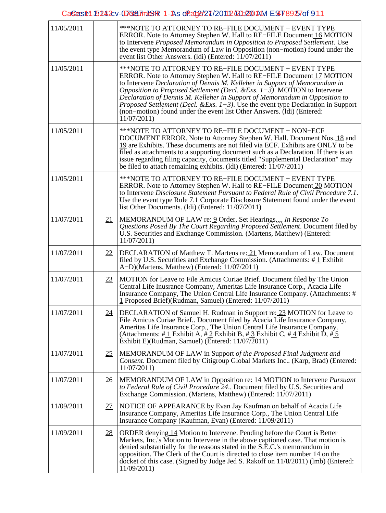# CaSe: 15242 v-073827mJSR: 1-As of Ag2(27/2011 2/2012) 200 AM EST 8925 of 911

| 11/05/2011 |           | ***NOTE TO ATTORNEY TO RE–FILE DOCUMENT – EVENT TYPE<br>ERROR. Note to Attorney Stephen W. Hall to RE-FILE Document 16 MOTION<br>to Intervene Proposed Memorandum in Opposition to Proposed Settlement. Use<br>the event type Memorandum of Law in Opposition (non-motion) found under the<br>event list Other Answers. (Idi) (Entered: $11/07/2011$ )                                                                                                                                                                                                     |
|------------|-----------|------------------------------------------------------------------------------------------------------------------------------------------------------------------------------------------------------------------------------------------------------------------------------------------------------------------------------------------------------------------------------------------------------------------------------------------------------------------------------------------------------------------------------------------------------------|
| 11/05/2011 |           | ***NOTE TO ATTORNEY TO RE–FILE DOCUMENT – EVENT TYPE<br>ERROR. Note to Attorney Stephen W. Hall to RE-FILE Document 17 MOTION<br>to Intervene Declaration of Dennis M. Kelleher in Support of Memorandum in<br>Opposition to Proposed Settlement (Decl. & Exs. $1-3$ ). MOTION to Intervene<br>Declaration of Dennis M. Kelleher in Support of Memorandum in Opposition to<br>Proposed Settlement (Decl. & Exs. $1-3$ ). Use the event type Declaration in Support<br>(non-motion) found under the event list Other Answers. (Idi) (Entered:<br>11/07/2011 |
| 11/05/2011 |           | ***NOTE TO ATTORNEY TO RE-FILE DOCUMENT - NON-ECF<br>DOCUMENT ERROR. Note to Attorney Stephen W. Hall. Document Nos. 18 and<br>19 are Exhibits. These documents are not filed via ECF. Exhibits are ONLY to be<br>filed as attachments to a supporting document such as a Declaration. If there is an<br>issue regarding filing capacity, documents titled "Supplemental Declaration" may<br>be filed to attach remaining exhibits. (Idi) (Entered: $\overline{11}/07/2011$ )                                                                              |
| 11/05/2011 |           | ***NOTE TO ATTORNEY TO RE–FILE DOCUMENT – EVENT TYPE<br>ERROR. Note to Attorney Stephen W. Hall to RE-FILE Document 20 MOTION<br>to Intervene Disclosure Statement Pursuant to Federal Rule of Civil Procedure 7.1.<br>Use the event type Rule 7.1 Corporate Disclosure Statement found under the event<br>list Other Documents. (Idi) (Entered: 11/07/2011)                                                                                                                                                                                               |
| 11/07/2011 | 21        | MEMORANDUM OF LAW re: 9 Order, Set Hearings,,,, In Response To<br>Questions Posed By The Court Regarding Proposed Settlement. Document filed by<br>U.S. Securities and Exchange Commission. (Martens, Matthew) (Entered:<br>11/07/2011                                                                                                                                                                                                                                                                                                                     |
| 11/07/2011 | 22        | DECLARATION of Matthew T. Martens re: 21 Memorandum of Law. Document<br>filed by U.S. Securities and Exchange Commission. (Attachments: $\#$ 1 Exhibit<br>A-D)(Martens, Matthew) (Entered: 11/07/2011)                                                                                                                                                                                                                                                                                                                                                     |
| 11/07/2011 | 23        | MOTION for Leave to File Amicus Curiae Brief. Document filed by The Union<br>Central Life Inusrance Company, Ameritas Life Insurance Corp., Acacia Life<br>Insurance Company, The Union Central Life Insurance Company. (Attachments: #<br>1 Proposed Brief)(Rudman, Samuel) (Entered: 11/07/2011)                                                                                                                                                                                                                                                         |
| 11/07/2011 | 24        | DECLARATION of Samuel H. Rudman in Support re: 23 MOTION for Leave to<br>File Amicus Curiae Brief Document filed by Acacia Life Insurance Company,<br>Ameritas Life Insurance Corp., The Union Central Life Insurance Company.<br>(Attachments: #1 Exhibit A, #2 Exhibit B, #3 Exhibit C, #4 Exhibit D, #5<br>Exhibit E)(Rudman, Samuel) (Entered: 11/07/2011)                                                                                                                                                                                             |
| 11/07/2011 | <u>25</u> | MEMORANDUM OF LAW in Support of the Proposed Final Judgment and<br>Consent. Document filed by Citigroup Global Markets Inc (Karp, Brad) (Entered:<br>11/07/2011                                                                                                                                                                                                                                                                                                                                                                                            |
| 11/07/2011 | <u>26</u> | MEMORANDUM OF LAW in Opposition re: 14 MOTION to Intervene <i>Pursuant</i><br>to Federal Rule of Civil Procedure 24 Document filed by U.S. Securities and<br>Exchange Commission. (Martens, Matthew) (Entered: 11/07/2011)                                                                                                                                                                                                                                                                                                                                 |
| 11/09/2011 | 27        | NOTICE OF APPEARANCE by Evan Jay Kaufman on behalf of Acacia Life<br>Insurance Company, Ameritas Life Insurance Corp., The Union Central Life<br>Insurance Company (Kaufman, Evan) (Entered: 11/09/2011)                                                                                                                                                                                                                                                                                                                                                   |
| 11/09/2011 | <u>28</u> | ORDER denying 14 Motion to Intervene. Pending before the Court is Better<br>Markets, Inc.'s Motion to Intervene in the above captioned case. That motion is<br>denied substantially for the reasons stated in the S.E.C.'s memorandum in<br>opposition. The Clerk of the Court is directed to close item number 14 on the<br>docket of this case. (Signed by Judge Jed S. Rakoff on 11/8/2011) (lmb) (Entered:<br>11/09/2011)                                                                                                                              |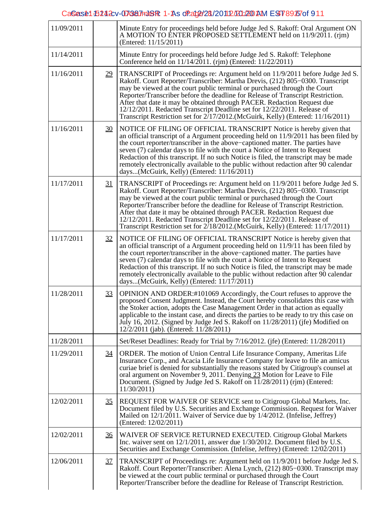# CaSe: 81-5242 D-073827mJSR: 1-As of 2021/2012/2012 200 AM EST 8926 of 911

| 11/09/2011 |                 | Minute Entry for proceedings held before Judge Jed S. Rakoff: Oral Argument ON<br>A MOTION TO ENTER PROPOSED SETTLEMENT held on 11/9/2011. (rim)<br>(Entered: 11/15/2011)                                                                                                                                                                                                                                                                                                                                                                                               |
|------------|-----------------|-------------------------------------------------------------------------------------------------------------------------------------------------------------------------------------------------------------------------------------------------------------------------------------------------------------------------------------------------------------------------------------------------------------------------------------------------------------------------------------------------------------------------------------------------------------------------|
| 11/14/2011 |                 | Minute Entry for proceedings held before Judge Jed S. Rakoff: Telephone<br>Conference held on 11/14/2011. (rjm) (Entered: 11/22/2011)                                                                                                                                                                                                                                                                                                                                                                                                                                   |
| 11/16/2011 | 29              | TRANSCRIPT of Proceedings re: Argument held on 11/9/2011 before Judge Jed S.<br>Rakoff. Court Reporter/Transcriber: Martha Drevis, (212) 805-0300. Transcript<br>may be viewed at the court public terminal or purchased through the Court<br>Reporter/Transcriber before the deadline for Release of Transcript Restriction.<br>After that date it may be obtained through PACER. Redaction Request due<br>12/12/2011. Redacted Transcript Deadline set for 12/22/2011. Release of<br>Transcript Restriction set for 2/17/2012.(McGuirk, Kelly) (Entered: 11/16/2011)  |
| 11/16/2011 | 30              | NOTICE OF FILING OF OFFICIAL TRANSCRIPT Notice is hereby given that<br>an official transcript of a Argument proceeding held on $11/9/2011$ has been filed by<br>the court reporter/transcriber in the above-captioned matter. The parties have<br>seven (7) calendar days to file with the court a Notice of Intent to Request<br>Redaction of this transcript. If no such Notice is filed, the transcript may be made<br>remotely electronically available to the public without redaction after 90 calendar<br>days(McGuirk, Kelly) (Entered: 11/16/2011)             |
| 11/17/2011 | <u>31</u>       | TRANSCRIPT of Proceedings re: Argument held on 11/9/2011 before Judge Jed S.<br>Rakoff. Court Reporter/Transcriber: Martha Drevis, (212) 805-0300. Transcript<br>may be viewed at the court public terminal or purchased through the Court<br>Reporter/Transcriber before the deadline for Release of Transcript Restriction.<br>After that date it may be obtained through PACER. Redaction Request due<br>12/12/2011. Redacted Transcript Deadline set for 12/22/2011. Release of<br>Transcript Restriction set for 2/18/2012. (McGuirk, Kelly) (Entered: 11/17/2011) |
| 11/17/2011 | 32              | NOTICE OF FILING OF OFFICIAL TRANSCRIPT Notice is hereby given that<br>an official transcript of a Argument proceeding held on 11/9/11 has been filed by<br>the court reporter/transcriber in the above–captioned matter. The parties have<br>seven (7) calendar days to file with the court a Notice of Intent to Request<br>Redaction of this transcript. If no such Notice is filed, the transcript may be made<br>remotely electronically available to the public without redaction after 90 calendar<br>days(McGuirk, Kelly) (Entered: $11/17/2011$ )              |
| 11/28/2011 | 33              | OPINION AND ORDER:#101069 Accordingly, the Court refuses to approve the<br>proposed Consent Judgment. Instead, the Court hereby consolidates this case with<br>the Stoker action, adopts the Case Management Order in that action as equally<br>applicable to the instant case, and directs the parties to be ready to try this case on<br>July 16, 2012. (Signed by Judge Jed S. Rakoff on 11/28/2011) (ife) Modified on<br>12/2/2011 (jab). (Entered: 11/28/2011)                                                                                                     |
| 11/28/2011 |                 | Set/Reset Deadlines: Ready for Trial by 7/16/2012. (jfe) (Entered: 11/28/2011)                                                                                                                                                                                                                                                                                                                                                                                                                                                                                          |
| 11/29/2011 | <u>34</u>       | ORDER. The motion of Union Central Life Insurance Company, Ameritas Life<br>Insurance Corp., and Acacia Life Insurance Company for leave to file an amicus<br>curiae brief is denied for substantially the reasons stated by Citigroup's counsel at<br>oral argument on November 9, 2011. Denying 23 Motion for Leave to File<br>Document. (Signed by Judge Jed S. Rakoff on 11/28/2011) (rjm) (Entered:<br>11/30/2011)                                                                                                                                                 |
| 12/02/2011 | <u>35</u>       | REQUEST FOR WAIVER OF SERVICE sent to Citigroup Global Markets, Inc.<br>Document filed by U.S. Securities and Exchange Commission. Request for Waiver<br>Mailed on 12/1/2011. Waiver of Service due by 1/4/2012. (Infelise, Jeffrey)<br>(Entered: 12/02/2011)                                                                                                                                                                                                                                                                                                           |
| 12/02/2011 | $\overline{36}$ | WAIVER OF SERVICE RETURNED EXECUTED. Citigroup Global Markets<br>Inc. waiver sent on 12/1/2011, answer due 1/30/2012. Document filed by U.S.<br>Securities and Exchange Commission. (Infelise, Jeffrey) (Entered: 12/02/2011)                                                                                                                                                                                                                                                                                                                                           |
| 12/06/2011 | 37              | TRANSCRIPT of Proceedings re: Argument held on 11/9/2011 before Judge Jed S.<br>Rakoff. Court Reporter/Transcriber: Alena Lynch, (212) 805–0300. Transcript may<br>be viewed at the court public terminal or purchased through the Court<br>Reporter/Transcriber before the deadline for Release of Transcript Restriction.                                                                                                                                                                                                                                             |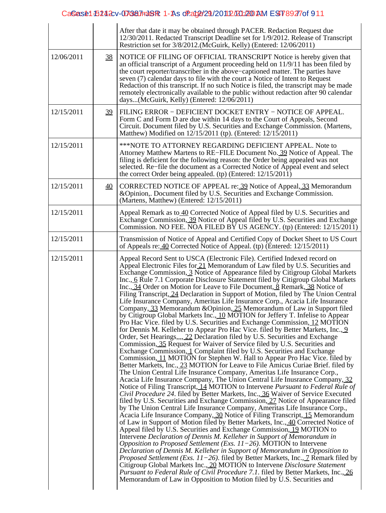# CaSe: 15242 v-073827mJSR: 1-As of 2d029/2011 2/2012 20 AM EST 8927 of 911

|            |                 | After that date it may be obtained through PACER. Redaction Request due<br>12/30/2011. Redacted Transcript Deadline set for 1/9/2012. Release of Transcript<br>Restriction set for 3/8/2012.(McGuirk, Kelly) (Entered: 12/06/2011)                                                                                                                                                                                                                                                                                                                                                                                                                                                                                                                                                                                                                                                                                                                                                                                                                                                                                                                                                                                                                                                                                                                                                                                                                                                                                                                                                                                                                                                                                                                                                                                                                                                                                                                                                                                                                                                                                                                                                                                                                                                                                                                                                                                                                                                                                                                                                                                                                                             |
|------------|-----------------|--------------------------------------------------------------------------------------------------------------------------------------------------------------------------------------------------------------------------------------------------------------------------------------------------------------------------------------------------------------------------------------------------------------------------------------------------------------------------------------------------------------------------------------------------------------------------------------------------------------------------------------------------------------------------------------------------------------------------------------------------------------------------------------------------------------------------------------------------------------------------------------------------------------------------------------------------------------------------------------------------------------------------------------------------------------------------------------------------------------------------------------------------------------------------------------------------------------------------------------------------------------------------------------------------------------------------------------------------------------------------------------------------------------------------------------------------------------------------------------------------------------------------------------------------------------------------------------------------------------------------------------------------------------------------------------------------------------------------------------------------------------------------------------------------------------------------------------------------------------------------------------------------------------------------------------------------------------------------------------------------------------------------------------------------------------------------------------------------------------------------------------------------------------------------------------------------------------------------------------------------------------------------------------------------------------------------------------------------------------------------------------------------------------------------------------------------------------------------------------------------------------------------------------------------------------------------------------------------------------------------------------------------------------------------------|
| 12/06/2011 | <u>38</u>       | NOTICE OF FILING OF OFFICIAL TRANSCRIPT Notice is hereby given that<br>an official transcript of a Argument proceeding held on $11/9/11$ has been filed by<br>the court reporter/transcriber in the above–captioned matter. The parties have<br>seven (7) calendar days to file with the court a Notice of Intent to Request<br>Redaction of this transcript. If no such Notice is filed, the transcript may be made<br>remotely electronically available to the public without redaction after 90 calendar<br>days(McGuirk, Kelly) (Entered: 12/06/2011)                                                                                                                                                                                                                                                                                                                                                                                                                                                                                                                                                                                                                                                                                                                                                                                                                                                                                                                                                                                                                                                                                                                                                                                                                                                                                                                                                                                                                                                                                                                                                                                                                                                                                                                                                                                                                                                                                                                                                                                                                                                                                                                      |
| 12/15/2011 | 39              | FILING ERROR - DEFICIENT DOCKET ENTRY - NOTICE OF APPEAL.<br>Form C and Form D are due within 14 days to the Court of Appeals, Second<br>Circuit. Document filed by U.S. Securities and Exchange Commission. (Martens,<br>Matthew) Modified on 12/15/2011 (tp). (Entered: 12/15/2011)                                                                                                                                                                                                                                                                                                                                                                                                                                                                                                                                                                                                                                                                                                                                                                                                                                                                                                                                                                                                                                                                                                                                                                                                                                                                                                                                                                                                                                                                                                                                                                                                                                                                                                                                                                                                                                                                                                                                                                                                                                                                                                                                                                                                                                                                                                                                                                                          |
| 12/15/2011 |                 | ***NOTE TO ATTORNEY REGARDING DEFICIENT APPEAL. Note to<br>Attorney Matthew Martens to RE–FILE Document No. 39 Notice of Appeal. The<br>filing is deficient for the following reason: the Order being appealed was not<br>selected. Re-file the document as a Corrected Notice of Appeal event and select<br>the correct Order being appealed. (tp) (Entered: $12/15/2011$ )                                                                                                                                                                                                                                                                                                                                                                                                                                                                                                                                                                                                                                                                                                                                                                                                                                                                                                                                                                                                                                                                                                                                                                                                                                                                                                                                                                                                                                                                                                                                                                                                                                                                                                                                                                                                                                                                                                                                                                                                                                                                                                                                                                                                                                                                                                   |
| 12/15/2011 | $\overline{40}$ | CORRECTED NOTICE OF APPEAL re: 39 Notice of Appeal, 33 Memorandum<br>& Opinion,. Document filed by U.S. Securities and Exchange Commission.<br>(Martens, Matthew) (Entered: 12/15/2011)                                                                                                                                                                                                                                                                                                                                                                                                                                                                                                                                                                                                                                                                                                                                                                                                                                                                                                                                                                                                                                                                                                                                                                                                                                                                                                                                                                                                                                                                                                                                                                                                                                                                                                                                                                                                                                                                                                                                                                                                                                                                                                                                                                                                                                                                                                                                                                                                                                                                                        |
| 12/15/2011 |                 | Appeal Remark as to 40 Corrected Notice of Appeal filed by U.S. Securities and<br>Exchange Commission, 39 Notice of Appeal filed by U.S. Securities and Exchange<br>Commission. NO FEE. NOA FILED BY US AGENCY. (tp) (Entered: 12/15/2011)                                                                                                                                                                                                                                                                                                                                                                                                                                                                                                                                                                                                                                                                                                                                                                                                                                                                                                                                                                                                                                                                                                                                                                                                                                                                                                                                                                                                                                                                                                                                                                                                                                                                                                                                                                                                                                                                                                                                                                                                                                                                                                                                                                                                                                                                                                                                                                                                                                     |
| 12/15/2011 |                 | Transmission of Notice of Appeal and Certified Copy of Docket Sheet to US Court<br>of Appeals re: 40 Corrected Notice of Appeal. (tp) (Entered: 12/15/2011)                                                                                                                                                                                                                                                                                                                                                                                                                                                                                                                                                                                                                                                                                                                                                                                                                                                                                                                                                                                                                                                                                                                                                                                                                                                                                                                                                                                                                                                                                                                                                                                                                                                                                                                                                                                                                                                                                                                                                                                                                                                                                                                                                                                                                                                                                                                                                                                                                                                                                                                    |
| 12/15/2011 |                 | Appeal Record Sent to USCA (Electronic File). Certified Indexed record on<br>Appeal Electronic Files for 21 Memorandum of Law filed by U.S. Securities and<br>Exchange Commission, 3 Notice of Appearance filed by Citigroup Global Markets<br>Inc., 6 Rule 7.1 Corporate Disclosure Statement filed by Citigroup Global Markets<br>Inc., 34 Order on Motion for Leave to File Document, 8 Remark, 38 Notice of<br>Filing Transcript, 24 Declaration in Support of Motion, filed by The Union Central<br>Life Insurance Company, Ameritas Life Insurance Corp., Acacia Life Insurance<br>Company, 33 Memorandum & Opinion, 25 Memorandum of Law in Support filed<br>by Citigroup Global Markets Inc., 10 MOTION for Jeffery T. Infelise to Appear<br>Pro Hac Vice. filed by U.S. Securities and Exchange Commission, 12 MOTION<br>for Dennis M. Kelleher to Appear Pro Hac Vice. filed by Better Markets, Inc., 9<br>Order, Set Hearings,,,, 22 Declaration filed by U.S. Securities and Exchange<br>Commission, 35 Request for Waiver of Service filed by U.S. Securities and<br>Exchange Commission, 1 Complaint filed by U.S. Securities and Exchange<br>Commission, 11 MOTION for Stephen W. Hall to Appear Pro Hac Vice. filed by<br>Better Markets, Inc., 23 MOTION for Leave to File Amicus Curiae Brief. filed by<br>The Union Central Life Insurance Company, Ameritas Life Insurance Corp.,<br>Acacia Life Insurance Company, The Union Central Life Inusrance Company, 32<br>Notice of Filing Transcript, 14 MOTION to Intervene Pursuant to Federal Rule of<br>Civil Procedure 24. filed by Better Markets, Inc., 36 Waiver of Service Executed<br>filed by U.S. Securities and Exchange Commission, 27 Notice of Appearance filed<br>by The Union Central Life Insurance Company, Ameritas Life Insurance Corp.,<br>Acacia Life Insurance Company, 30 Notice of Filing Transcript, 15 Memorandum<br>of Law in Support of Motion filed by Better Markets, Inc., 40 Corrected Notice of<br>Appeal filed by U.S. Securities and Exchange Commission, 19 MOTION to<br>Intervene Declaration of Dennis M. Kelleher in Support of Memorandum in<br>Opposition to Proposed Settlement (Exs. $11-26$ ). MOTION to Intervene<br>Declaration of Dennis M. Kelleher in Support of Memorandum in Opposition to<br><i>Proposed Settlement (Exs. 11–26).</i> filed by Better Markets, Inc., $\overline{I}$ Remark filed by<br>Citigroup Global Markets Inc., 20 MOTION to Intervene Disclosure Statement<br><i>Pursuant to Federal Rule of Civil Procedure 7.1.</i> filed by Better Markets, Inc., 26<br>Memorandum of Law in Opposition to Motion filed by U.S. Securities and |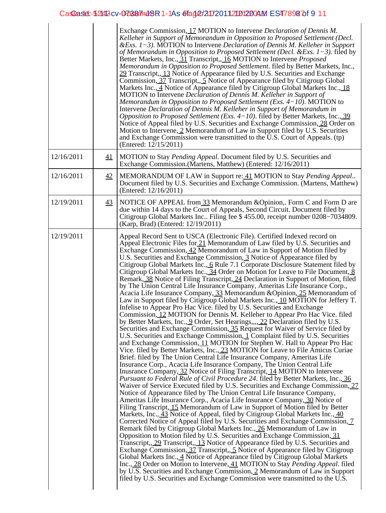# CasGase: 52442 cv - D70387748R 1 - 1As @fag@/210/20112101200AM ES4789287of 911

|            |    | Exchange Commission, 17 MOTION to Intervene Declaration of Dennis M.<br>Kelleher in Support of Memorandum in Opposition to Proposed Settlement (Decl.<br>& Exs. $1-3$ ). MOTION to Intervene Declaration of Dennis M. Kelleher in Support<br>of Memorandum in Opposition to Proposed Settlement (Decl. & Exs. $1-3$ ). filed by<br>Better Markets, Inc., 31 Transcript,, 16 MOTION to Intervene Proposed<br>Memorandum in Opposition to Proposed Settlement. filed by Better Markets, Inc.,<br>29 Transcript, 13 Notice of Appearance filed by U.S. Securities and Exchange<br>Commission, 37 Transcript, 5 Notice of Appearance filed by Citigroup Global<br>Markets Inc., 4 Notice of Appearance filed by Citigroup Global Markets Inc., 18<br>MOTION to Intervene Declaration of Dennis M. Kelleher in Support of<br>Memorandum in Opposition to Proposed Settlement (Exs. $4-10$ ). MOTION to<br>Intervene Declaration of Dennis M. Kelleher in Support of Memorandum in<br>Opposition to Proposed Settlement (Exs. $4-10$ ). filed by Better Markets, Inc., 39<br>Notice of Appeal filed by U.S. Securities and Exchange Commission, 28 Order on<br>Motion to Intervene, 2 Memorandum of Law in Support filed by U.S. Securities<br>and Exchange Commission were transmitted to the U.S. Court of Appeals. (tp)<br>(Entered: $12/15/2011$ )                                                                                                                                                                                                                                                                                                                                                                                                                                                                                                                                                                                                                                                                                                                                                                                                                                                                                                                                                                                                                                                                                                                                                                                                                                                                                                                                                                                                                                                                                                                                                   |
|------------|----|----------------------------------------------------------------------------------------------------------------------------------------------------------------------------------------------------------------------------------------------------------------------------------------------------------------------------------------------------------------------------------------------------------------------------------------------------------------------------------------------------------------------------------------------------------------------------------------------------------------------------------------------------------------------------------------------------------------------------------------------------------------------------------------------------------------------------------------------------------------------------------------------------------------------------------------------------------------------------------------------------------------------------------------------------------------------------------------------------------------------------------------------------------------------------------------------------------------------------------------------------------------------------------------------------------------------------------------------------------------------------------------------------------------------------------------------------------------------------------------------------------------------------------------------------------------------------------------------------------------------------------------------------------------------------------------------------------------------------------------------------------------------------------------------------------------------------------------------------------------------------------------------------------------------------------------------------------------------------------------------------------------------------------------------------------------------------------------------------------------------------------------------------------------------------------------------------------------------------------------------------------------------------------------------------------------------------------------------------------------------------------------------------------------------------------------------------------------------------------------------------------------------------------------------------------------------------------------------------------------------------------------------------------------------------------------------------------------------------------------------------------------------------------------------------------------------------------------------------------------------------------------------------|
| 12/16/2011 | 41 | MOTION to Stay Pending Appeal. Document filed by U.S. Securities and<br>Exchange Commission. (Martens, Matthew) (Entered: 12/16/2011)                                                                                                                                                                                                                                                                                                                                                                                                                                                                                                                                                                                                                                                                                                                                                                                                                                                                                                                                                                                                                                                                                                                                                                                                                                                                                                                                                                                                                                                                                                                                                                                                                                                                                                                                                                                                                                                                                                                                                                                                                                                                                                                                                                                                                                                                                                                                                                                                                                                                                                                                                                                                                                                                                                                                                              |
| 12/16/2011 | 42 | MEMORANDUM OF LAW in Support re: 41 MOTION to Stay Pending Appeal<br>Document filed by U.S. Securities and Exchange Commission. (Martens, Matthew)<br>(Entered: 12/16/2011)                                                                                                                                                                                                                                                                                                                                                                                                                                                                                                                                                                                                                                                                                                                                                                                                                                                                                                                                                                                                                                                                                                                                                                                                                                                                                                                                                                                                                                                                                                                                                                                                                                                                                                                                                                                                                                                                                                                                                                                                                                                                                                                                                                                                                                                                                                                                                                                                                                                                                                                                                                                                                                                                                                                        |
| 12/19/2011 | 43 | NOTICE OF APPEAL from 33 Memorandum & Opinion,. Form C and Form D are<br>due within 14 days to the Court of Appeals, Second Circuit. Document filed by<br>Citigroup Global Markets Inc Filing fee \$455.00, receipt number 0208–7034809.<br>(Karp, Brad) (Entered: 12/19/2011)                                                                                                                                                                                                                                                                                                                                                                                                                                                                                                                                                                                                                                                                                                                                                                                                                                                                                                                                                                                                                                                                                                                                                                                                                                                                                                                                                                                                                                                                                                                                                                                                                                                                                                                                                                                                                                                                                                                                                                                                                                                                                                                                                                                                                                                                                                                                                                                                                                                                                                                                                                                                                     |
| 12/19/2011 |    | Appeal Record Sent to USCA (Electronic File). Certified Indexed record on<br>Appeal Electronic Files for 21 Memorandum of Law filed by U.S. Securities and<br>Exchange Commission, 42 Memorandum of Law in Support of Motion filed by<br>U.S. Securities and Exchange Commission, 3 Notice of Appearance filed by<br>Citigroup Global Markets Inc., 6 Rule 7.1 Corporate Disclosure Statement filed by<br>Citigroup Global Markets Inc., 34 Order on Motion for Leave to File Document, 8<br>Remark, 38 Notice of Filing Transcript, 24 Declaration in Support of Motion, filed<br>by The Union Central Life Insurance Company, Ameritas Life Insurance Corp.,<br>Acacia Life Insurance Company, 33 Memorandum & Opinion, 25 Memorandum of<br>Law in Support filed by Citigroup Global Markets Inc., 10 MOTION for Jeffery T.<br>Infelise to Appear Pro Hac Vice. filed by U.S. Securities and Exchange<br>Commission, 12 MOTION for Dennis M. Kelleher to Appear Pro Hac Vice. filed<br>by Better Markets, Inc., 9 Order, Set Hearings,  22 Declaration filed by U.S.<br>Securities and Exchange Commission, 35 Request for Waiver of Service filed by<br>U.S. Securities and Exchange Commission, 1 Complaint filed by U.S. Securities<br>and Exchange Commission, 11 MOTION for Stephen W. Hall to Appear Pro Hac<br>Vice. filed by Better Markets, Inc., 23 MOTION for Leave to File Amicus Curiae<br>Brief. filed by The Union Central Life Insurance Company, Ameritas Life<br>Insurance Corp., Acacia Life Insurance Company, The Union Central Life<br>Inusrance Company, 32 Notice of Filing Transcript, 14 MOTION to Intervene<br>Pursuant to Federal Rule of Civil Procedure 24. filed by Better Markets, Inc., 36<br>Waiver of Service Executed filed by U.S. Securities and Exchange Commission, 27<br>Notice of Appearance filed by The Union Central Life Insurance Company,<br>Ameritas Life Insurance Corp., Acacia Life Insurance Company, 30 Notice of<br>Filing Transcript, 15 Memorandum of Law in Support of Motion filed by Better<br>Markets, Inc., 43 Notice of Appeal, filed by Citigroup Global Markets Inc., 40<br>Corrected Notice of Appeal filed by U.S. Securities and Exchange Commission, 7<br>Remark filed by Citigroup Global Markets Inc., 26 Memorandum of Law in<br>Opposition to Motion filed by U.S. Securities and Exchange Commission, 31<br>Transcript, 29 Transcript, 13 Notice of Appearance filed by U.S. Securities and<br>Exchange Commission, 37 Transcript, 5 Notice of Appearance filed by Citigroup<br>Global Markets Inc., 4 Notice of Appearance filed by Citigroup Global Markets<br>Inc., 28 Order on Motion to Intervene, 41 MOTION to Stay <i>Pending Appeal</i> . filed<br>by U.S. Securities and Exchange Commission, 2 Memorandum of Law in Support<br>filed by U.S. Securities and Exchange Commission were transmitted to the U.S. |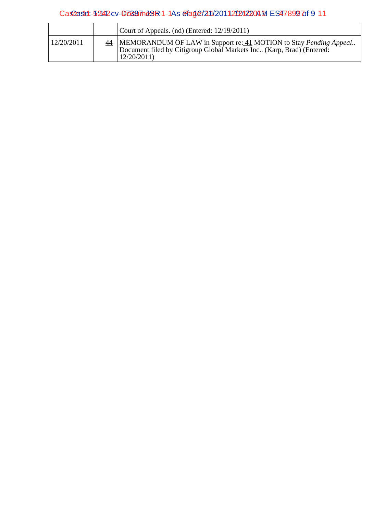# CasGase: 52442 cv - D70687748R 1 - 1As @fag@/211/2011 21212004M ES4789297 of 911

|            | Court of Appeals. (nd) (Entered: 12/19/2011)                                                                                                                  |
|------------|---------------------------------------------------------------------------------------------------------------------------------------------------------------|
| 12/20/2011 | 44   MEMORANDUM OF LAW in Support re: 41 MOTION to Stay Pending Appeal<br>Document filed by Citigroup Global Markets Inc (Karp, Brad) (Entered:<br>12/20/2011 |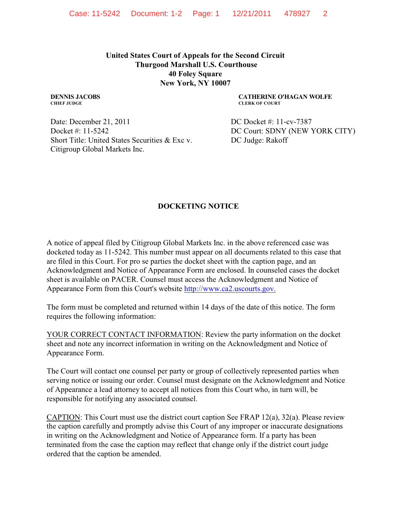**United States Court of Appeals for the Second Circuit Thurgood Marshall U.S. Courthouse 40 Foley Square New York, NY 10007**

**DENNIS JACOBS CHIEF JUDGE**

**CATHERINE O'HAGAN WOLFE CLERK OF COURT**

Date: December 21, 2011 Docket #: 11-5242 Short Title: United States Securities & Exc v. Citigroup Global Markets Inc.

 DC Docket #: 11-cv-7387 DC Court: SDNY (NEW YORK CITY) DC Judge: Rakoff

# **DOCKETING NOTICE**

A notice of appeal filed by Citigroup Global Markets Inc. in the above referenced case was docketed today as 11-5242. This number must appear on all documents related to this case that are filed in this Court. For pro se parties the docket sheet with the caption page, and an Acknowledgment and Notice of Appearance Form are enclosed. In counseled cases the docket sheet is available on PACER. Counsel must access the Acknowledgment and Notice of Appearance Form from this Court's website [http://www.ca2.uscourts.gov.](http://www.ca2.uscourts.gov,./)

The form must be completed and returned within 14 days of the date of this notice. The form requires the following information:

YOUR CORRECT CONTACT INFORMATION: Review the party information on the docket sheet and note any incorrect information in writing on the Acknowledgment and Notice of Appearance Form.

The Court will contact one counsel per party or group of collectively represented parties when serving notice or issuing our order. Counsel must designate on the Acknowledgment and Notice of Appearance a lead attorney to accept all notices from this Court who, in turn will, be responsible for notifying any associated counsel.

CAPTION: This Court must use the district court caption See FRAP 12(a), 32(a). Please review the caption carefully and promptly advise this Court of any improper or inaccurate designations in writing on the Acknowledgment and Notice of Appearance form. If a party has been terminated from the case the caption may reflect that change only if the district court judge ordered that the caption be amended.